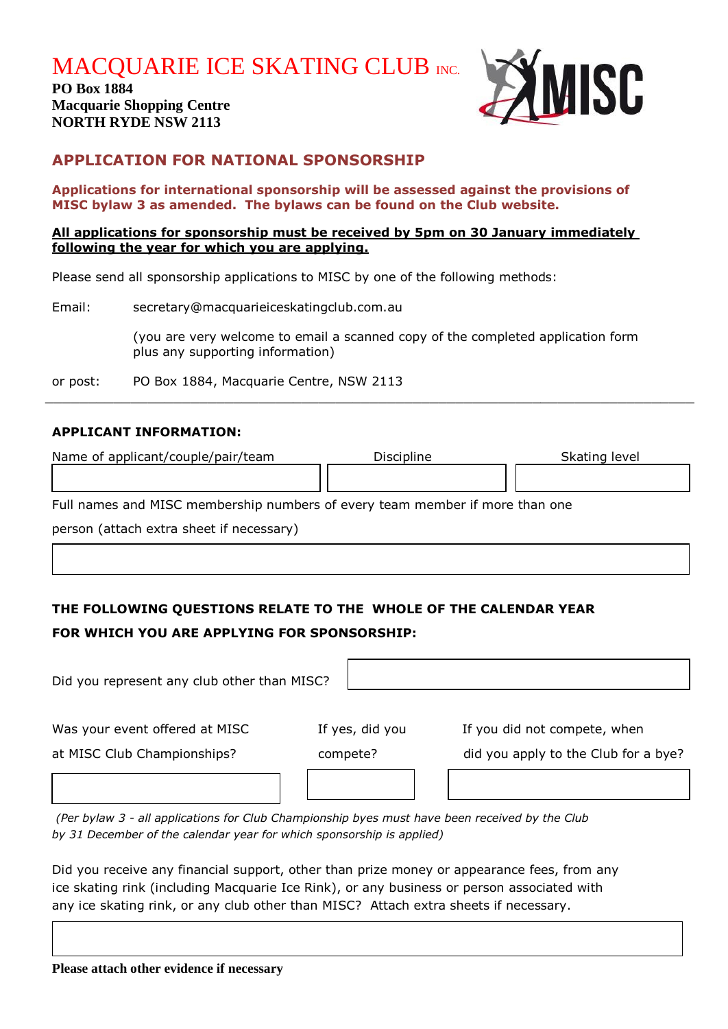**MACQUARIE ICE SKATING CLUB INC.** 

**PO Box 1884 Macquarie Shopping Centre NORTH RYDE NSW 2113**



## **APPLICATION FOR NATIONAL SPONSORSHIP**

**Applications for international sponsorship will be assessed against the provisions of MISC bylaw 3 as amended. The bylaws can be found on the Club website.**

#### **All applications for sponsorship must be received by 5pm on 30 January immediately following the year for which you are applying.**

Please send all sponsorship applications to MISC by one of the following methods:

| Email: | secretary@macquarieiceskatingclub.com.au                                                                            |  |  |
|--------|---------------------------------------------------------------------------------------------------------------------|--|--|
|        | (you are very welcome to email a scanned copy of the completed application form<br>plus any supporting information) |  |  |
|        |                                                                                                                     |  |  |

or post: PO Box 1884, Macquarie Centre, NSW 2113  $\_$  , and the contribution of the contribution of the contribution of the contribution of the contribution of  $\mathcal{L}_\mathcal{A}$ 

#### **APPLICANT INFORMATION:**

| Name of applicant/couple/pair/team                                           | Discipline | Skating level |
|------------------------------------------------------------------------------|------------|---------------|
|                                                                              |            |               |
| Full names and MISC membership numbers of every team member if more than one |            |               |
| person (attach extra sheet if necessary)                                     |            |               |
|                                                                              |            |               |

# **THE FOLLOWING QUESTIONS RELATE TO THE WHOLE OF THE CALENDAR YEAR FOR WHICH YOU ARE APPLYING FOR SPONSORSHIP:**

| Did you represent any club other than MISC?                   |                             |                                                                      |
|---------------------------------------------------------------|-----------------------------|----------------------------------------------------------------------|
| Was your event offered at MISC<br>at MISC Club Championships? | If yes, did you<br>compete? | If you did not compete, when<br>did you apply to the Club for a bye? |
|                                                               |                             |                                                                      |

*(Per bylaw 3 - all applications for Club Championship byes must have been received by the Club by 31 December of the calendar year for which sponsorship is applied)*

Did you receive any financial support, other than prize money or appearance fees, from any ice skating rink (including Macquarie Ice Rink), or any business or person associated with any ice skating rink, or any club other than MISC? Attach extra sheets if necessary.